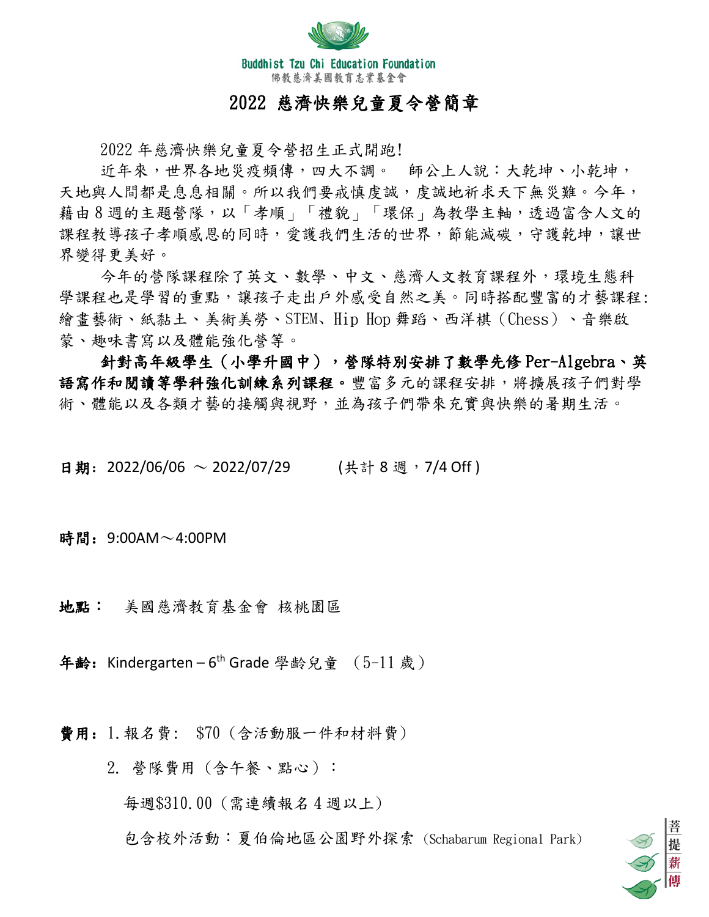

# 2022 慈濟快樂兒童夏令營簡章

2022 年慈濟快樂兒童夏令營招生正式開跑!

近年來,世界各地災疫頻傳,四大不調。 師公上人說:大乾坤、小乾坤, 天地與人間都是息息相關。所以我們要戒慎虔誠,虔誠地祈求天下無災難。今年, 藉由8週的主題營隊,以「孝順」「禮貌」「環保」為教學主軸,透過富含人文的 課程教導孩子孝順感恩的同時,愛護我們生活的世界,節能減碳,守護乾坤,讓世 界變得更美好。

今年的營隊課程除了英文、數學、中文、慈濟人文教育課程外,環境生態科 學課程也是學習的重點,讓孩子走出戶外感受自然之美。同時搭配豐富的才藝課程: 繪畫藝術、紙黏土、美術美勞、STEM、Hip Hop 舞蹈、西洋棋(Chess)、音樂啟 蒙、趣味書寫以及體能強化營等。

針對高年級學生(小學升國中),營隊特別安排了數學先修 Per-Algebra、英 語寫作和閱讀等學科強化訓練系列課程。豐富多元的課程安排,將擴展孩子們對學 術、體能以及各類才藝的接觸與視野,並為孩子們帶來充實與快樂的暑期生活。

日期: 2022/06/06 ~ 2022/07/29 (共計 8 週, 7/4 Off)

時間: 9:00AM~4:00PM

地點: 美國慈濟教育基金會 核桃園區

年齢: Kindergarten – 6<sup>th</sup> Grade 學齡兒童 (5-11 歲)

費用:1.報名費: \$70 (含活動服一件和材料費)

2. 營隊費用(含午餐、點心):

每週\$310.00 (需連續報名 4 週以上)

包含校外活動:夏伯倫地區公園野外探索 (Schabarum Regional Park)

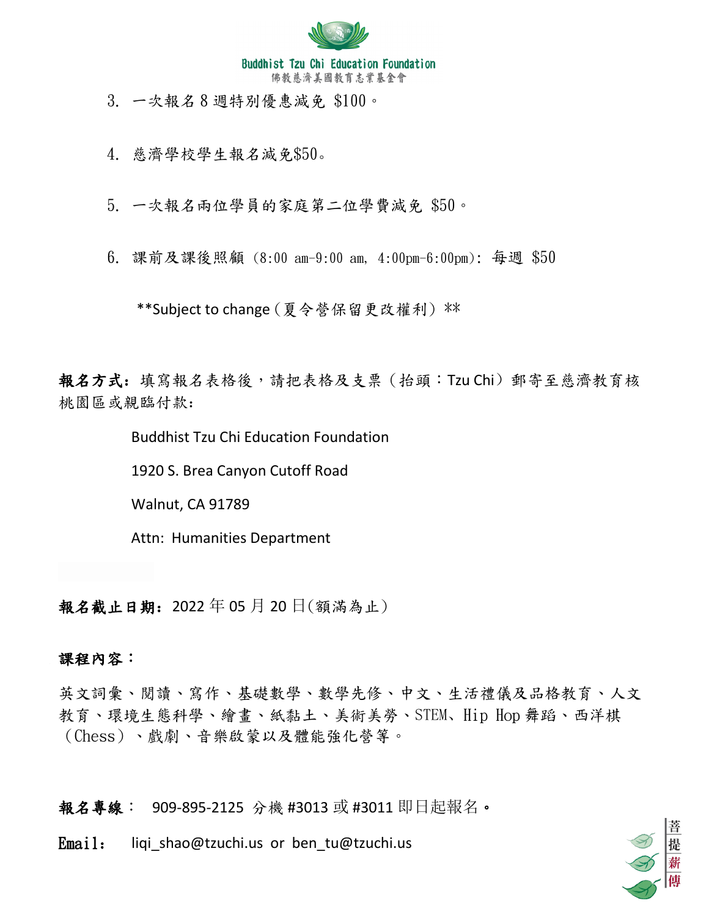

3. 一次報名 8 週特別優惠減免 \$100。

4. 慈濟學校學生報名減免\$50。

5. 一次報名兩位學員的家庭第二位學費減免 \$50。

6. 課前及課後照顧 (8:00 am-9:00 am, 4:00pm-6:00pm): 每週 \$50

\*\*Subject to change (夏令營保留更改權利) \*\*

報名方式:填寫報名表格後,請把表格及支票(抬頭:Tzu Chi)郵寄至慈濟教育核 桃園區或親臨付款:

Buddhist Tzu Chi Education Foundation

1920 S. Brea Canyon Cutoff Road

Walnut, CA 91789

Attn: Humanities Department

報名截止日期:2022 年 05 月 20 日(額滿為止)

### 課程內容:

英文詞彙、閱讀、寫作、基礎數學、數學先修、中文、生活禮儀及品格教育、人文 教育、環境生態科學、繪畫、紙黏土、美術美勞、STEM、Hip Hop 舞蹈、西洋棋 (Chess)、戲劇、音樂啟蒙以及體能強化營等。

報名專線: 909-895-2125 分機 #3013 或 #3011 即日起報名。

Email: liqi shao@tzuchi.us or ben\_tu@tzuchi.us

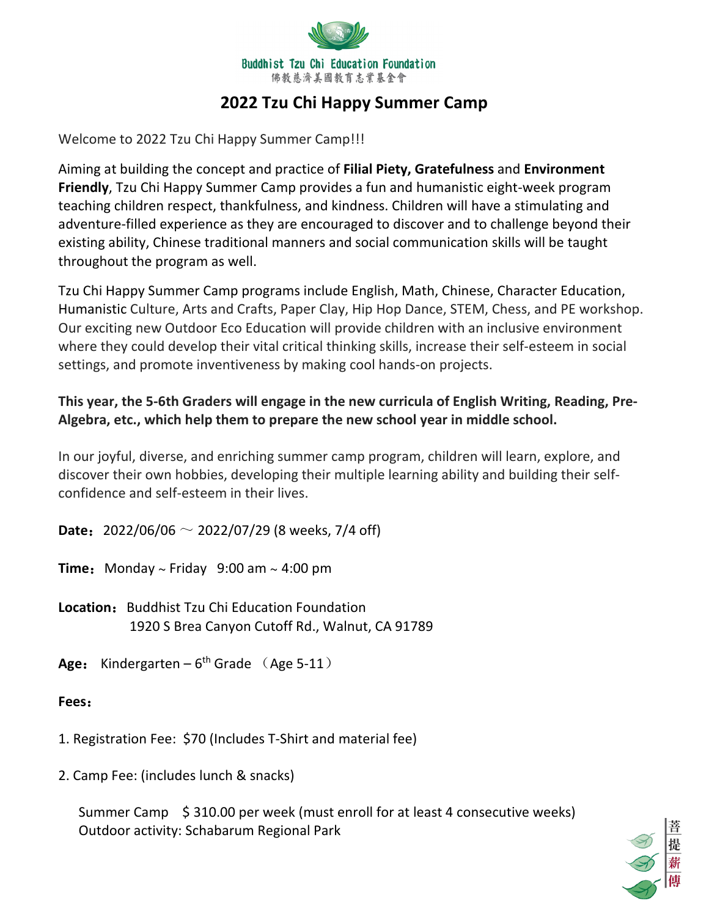

# **2022 Tzu Chi Happy Summer Camp**

Welcome to 2022 Tzu Chi Happy Summer Camp!!!

Aiming at building the concept and practice of **Filial Piety, Gratefulness** and **Environment Friendly**, Tzu Chi Happy Summer Camp provides a fun and humanistic eight-week program teaching children respect, thankfulness, and kindness. Children will have a stimulating and adventure-filled experience as they are encouraged to discover and to challenge beyond their existing ability, Chinese traditional manners and social communication skills will be taught throughout the program as well.

Tzu Chi Happy Summer Camp programs include English, Math, Chinese, Character Education, Humanistic Culture, Arts and Crafts, Paper Clay, Hip Hop Dance, STEM, Chess, and PE workshop. Our exciting new Outdoor Eco Education will provide children with an inclusive environment where they could develop their vital critical thinking skills, increase their self-esteem in social settings, and promote inventiveness by making cool hands-on projects.

## **This year, the 5-6th Graders will engage in the new curricula of English Writing, Reading, Pre-Algebra, etc., which help them to prepare the new school year in middle school.**

In our joyful, diverse, and enriching summer camp program, children will learn, explore, and discover their own hobbies, developing their multiple learning ability and building their selfconfidence and self-esteem in their lives.

**Date**:2022/06/06 ~ 2022/07/29 (8 weeks, 7/4 off)

**Time:** Monday  $\sim$  Friday 9:00 am  $\sim$  4:00 pm

**Location:** Buddhist Tzu Chi Education Foundation 1920 S Brea Canyon Cutoff Rd., Walnut, CA 91789

Age: Kindergarten –  $6<sup>th</sup>$  Grade (Age 5-11)

### **Fees**:

1. Registration Fee: \$70 (Includes T-Shirt and material fee)

2. Camp Fee: (includes lunch & snacks)

Summer Camp \$ 310.00 per week (must enroll for at least 4 consecutive weeks) Outdoor activity: Schabarum Regional Park